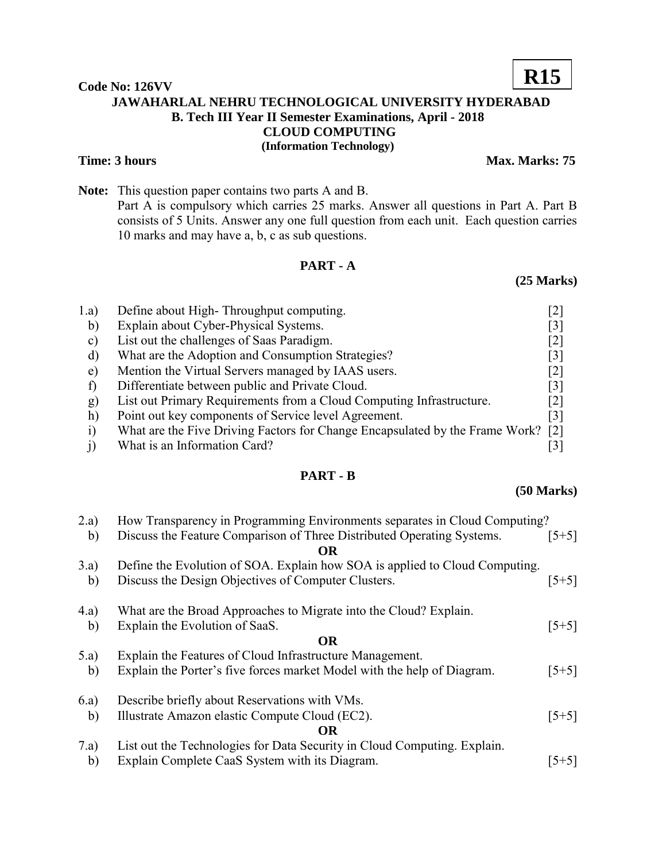## **Code No: 126VV JAWAHARLAL NEHRU TECHNOLOGICAL UNIVERSITY HYDERABAD B. Tech III Year II Semester Examinations, April - 2018 CLOUD COMPUTING (Information Technology)**

### **Time: 3 hours** Max. Marks: 75

**Note:** This question paper contains two parts A and B. Part A is compulsory which carries 25 marks. Answer all questions in Part A. Part B consists of 5 Units. Answer any one full question from each unit. Each question carries 10 marks and may have a, b, c as sub questions.

## **PART - A**

# 1.a) Define about High- Throughput computing. [2] b) Explain about Cyber-Physical Systems. [3] c) List out the challenges of Saas Paradigm. [2]

- d) What are the Adoption and Consumption Strategies? [3] e) Mention the Virtual Servers managed by IAAS users. [2] f) Differentiate between public and Private Cloud. [3] g) List out Primary Requirements from a Cloud Computing Infrastructure. [2] h) Point out key components of Service level Agreement. [3]
- i) What are the Five Driving Factors for Change Encapsulated by the Frame Work? [2]
- j) What is an Information Card? [3]

## **PART - B**

# 2.a) How Transparency in Programming Environments separates in Cloud Computing? b) Discuss the Feature Comparison of Three Distributed Operating Systems. [5+5] **OR** 3.a) Define the Evolution of SOA. Explain how SOA is applied to Cloud Computing. b) Discuss the Design Objectives of Computer Clusters. [5+5] 4.a) What are the Broad Approaches to Migrate into the Cloud? Explain. b) Explain the Evolution of SaaS. [5+5] **OR** 5.a) Explain the Features of Cloud Infrastructure Management. b) Explain the Porter's five forces market Model with the help of Diagram. [5+5] 6.a) Describe briefly about Reservations with VMs. b) Illustrate Amazon elastic Compute Cloud (EC2). [5+5] **OR** 7.a) List out the Technologies for Data Security in Cloud Computing. Explain. b) Explain Complete CaaS System with its Diagram. [5+5]

### **(50 Marks)**

**(25 Marks)**